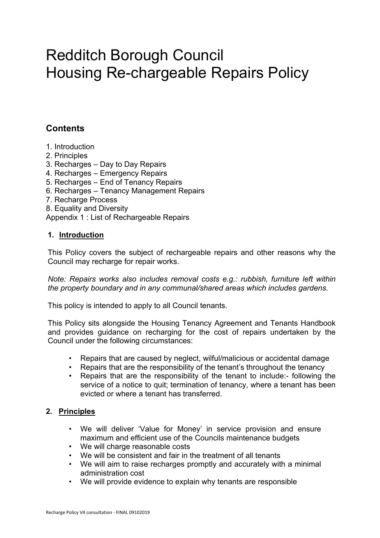# Redditch Borough Council Housing Re-chargeable Repairs Policy

# **Contents**

- 1. Introduction
- 2. Principles
- 3. Recharges Day to Day Repairs
- 4. Recharges Emergency Repairs
- 5. Recharges End of Tenancy Repairs
- 6. Recharges Tenancy Management Repairs
- 7. Recharge Process
- 8. Equality and Diversity

Appendix 1 : List of Rechargeable Repairs

#### **1. Introduction**

This Policy covers the subject of rechargeable repairs and other reasons why the Council may recharge for repair works.

*Note: Repairs works also includes removal costs e.g.: rubbish, furniture left within the property boundary and in any communal/shared areas which includes gardens.*

This policy is intended to apply to all Council tenants.

This Policy sits alongside the Housing Tenancy Agreement and Tenants Handbook and provides guidance on recharging for the cost of repairs undertaken by the Council under the following circumstances:

- Repairs that are caused by neglect, wilful/malicious or accidental damage
- Repairs that are the responsibility of the tenant's throughout the tenancy
- Repairs that are the responsibility of the tenant to include:- following the service of a notice to quit; termination of tenancy, where a tenant has been evicted or where a tenant has transferred.

# **2. Principles**

- We will deliver 'Value for Money' in service provision and ensure maximum and efficient use of the Councils maintenance budgets
- We will charge reasonable costs
- We will be consistent and fair in the treatment of all tenants
- We will aim to raise recharges promptly and accurately with a minimal administration cost
- We will provide evidence to explain why tenants are responsible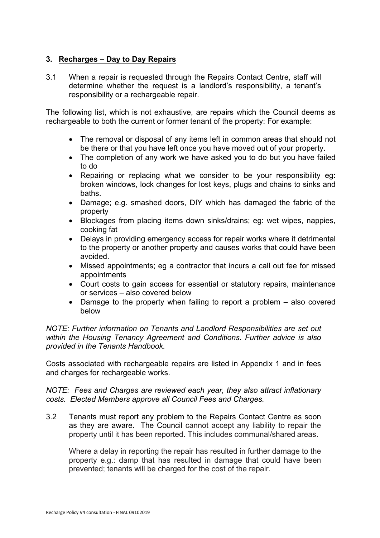# **3. Recharges – Day to Day Repairs**

3.1 When a repair is requested through the Repairs Contact Centre, staff will determine whether the request is a landlord's responsibility, a tenant's responsibility or a rechargeable repair.

The following list, which is not exhaustive, are repairs which the Council deems as rechargeable to both the current or former tenant of the property: For example:

- The removal or disposal of any items left in common areas that should not be there or that you have left once you have moved out of your property.
- The completion of any work we have asked you to do but you have failed to do
- Repairing or replacing what we consider to be your responsibility eg: broken windows, lock changes for lost keys, plugs and chains to sinks and baths.
- Damage; e.g. smashed doors, DIY which has damaged the fabric of the property
- Blockages from placing items down sinks/drains; eg: wet wipes, nappies, cooking fat
- Delays in providing emergency access for repair works where it detrimental to the property or another property and causes works that could have been avoided.
- Missed appointments; eg a contractor that incurs a call out fee for missed appointments
- Court costs to gain access for essential or statutory repairs, maintenance or services – also covered below
- Damage to the property when failing to report a problem also covered below

*NOTE: Further information on Tenants and Landlord Responsibilities are set out within the Housing Tenancy Agreement and Conditions. Further advice is also provided in the Tenants Handbook.*

Costs associated with rechargeable repairs are listed in Appendix 1 and in fees and charges for rechargeable works.

*NOTE: Fees and Charges are reviewed each year, they also attract inflationary costs. Elected Members approve all Council Fees and Charges.*

3.2 Tenants must report any problem to the Repairs Contact Centre as soon as they are aware. The Council cannot accept any liability to repair the property until it has been reported. This includes communal/shared areas.

Where a delay in reporting the repair has resulted in further damage to the property e.g.: damp that has resulted in damage that could have been prevented; tenants will be charged for the cost of the repair.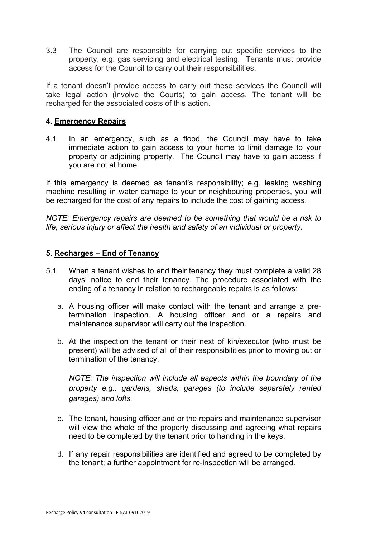3.3 The Council are responsible for carrying out specific services to the property; e.g. gas servicing and electrical testing. Tenants must provide access for the Council to carry out their responsibilities.

If a tenant doesn't provide access to carry out these services the Council will take legal action (involve the Courts) to gain access. The tenant will be recharged for the associated costs of this action.

# **4**. **Emergency Repairs**

4.1 In an emergency, such as a flood, the Council may have to take immediate action to gain access to your home to limit damage to your property or adjoining property. The Council may have to gain access if you are not at home.

If this emergency is deemed as tenant's responsibility; e.g. leaking washing machine resulting in water damage to your or neighbouring properties, you will be recharged for the cost of any repairs to include the cost of gaining access.

*NOTE: Emergency repairs are deemed to be something that would be a risk to life, serious injury or affect the health and safety of an individual or property.*

#### **5**. **Recharges – End of Tenancy**

- 5.1 When a tenant wishes to end their tenancy they must complete a valid 28 days' notice to end their tenancy. The procedure associated with the ending of a tenancy in relation to rechargeable repairs is as follows:
	- a. A housing officer will make contact with the tenant and arrange a pretermination inspection. A housing officer and or a repairs and maintenance supervisor will carry out the inspection.
	- b. At the inspection the tenant or their next of kin/executor (who must be present) will be advised of all of their responsibilities prior to moving out or termination of the tenancy.

*NOTE: The inspection will include all aspects within the boundary of the property e.g.: gardens, sheds, garages (to include separately rented garages) and lofts.*

- c. The tenant, housing officer and or the repairs and maintenance supervisor will view the whole of the property discussing and agreeing what repairs need to be completed by the tenant prior to handing in the keys.
- d. If any repair responsibilities are identified and agreed to be completed by the tenant; a further appointment for re-inspection will be arranged.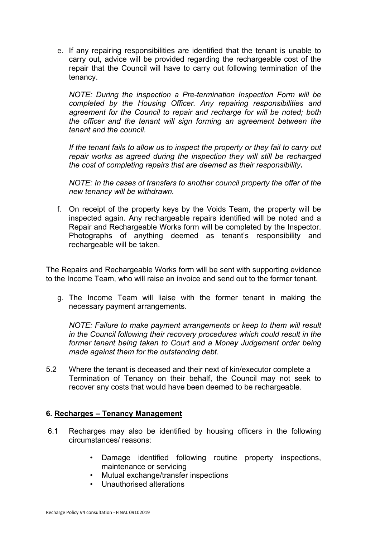e. If any repairing responsibilities are identified that the tenant is unable to carry out, advice will be provided regarding the rechargeable cost of the repair that the Council will have to carry out following termination of the tenancy.

*NOTE: During the inspection a Pre-termination Inspection Form will be completed by the Housing Officer. Any repairing responsibilities and agreement for the Council to repair and recharge for will be noted; both the officer and the tenant will sign forming an agreement between the tenant and the council.*

*If the tenant fails to allow us to inspect the property or they fail to carry out repair works as agreed during the inspection they will still be recharged the cost of completing repairs that are deemed as their responsibility***.**

*NOTE: In the cases of transfers to another council property the offer of the new tenancy will be withdrawn.*

f. On receipt of the property keys by the Voids Team, the property will be inspected again. Any rechargeable repairs identified will be noted and a Repair and Rechargeable Works form will be completed by the Inspector. Photographs of anything deemed as tenant's responsibility and rechargeable will be taken.

The Repairs and Rechargeable Works form will be sent with supporting evidence to the Income Team, who will raise an invoice and send out to the former tenant.

g. The Income Team will liaise with the former tenant in making the necessary payment arrangements.

*NOTE: Failure to make payment arrangements or keep to them will result in the Council following their recovery procedures which could result in the former tenant being taken to Court and a Money Judgement order being made against them for the outstanding debt.* 

5.2 Where the tenant is deceased and their next of kin/executor complete a Termination of Tenancy on their behalf, the Council may not seek to recover any costs that would have been deemed to be rechargeable.

# **6. Recharges – Tenancy Management**

- 6.1 Recharges may also be identified by housing officers in the following circumstances/ reasons:
	- Damage identified following routine property inspections, maintenance or servicing
	- Mutual exchange/transfer inspections
	- Unauthorised alterations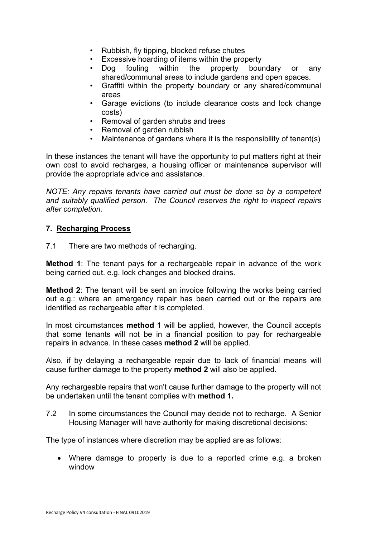- Rubbish, fly tipping, blocked refuse chutes
- Excessive hoarding of items within the property
- Dog fouling within the property boundary or any shared/communal areas to include gardens and open spaces.
- Graffiti within the property boundary or any shared/communal areas
- Garage evictions (to include clearance costs and lock change costs)
- Removal of garden shrubs and trees
- Removal of garden rubbish
- Maintenance of gardens where it is the responsibility of tenant(s)

In these instances the tenant will have the opportunity to put matters right at their own cost to avoid recharges, a housing officer or maintenance supervisor will provide the appropriate advice and assistance.

*NOTE: Any repairs tenants have carried out must be done so by a competent and suitably qualified person. The Council reserves the right to inspect repairs after completion.*

# **7. Recharging Process**

7.1 There are two methods of recharging.

**Method 1**: The tenant pays for a rechargeable repair in advance of the work being carried out. e.g. lock changes and blocked drains.

**Method 2**: The tenant will be sent an invoice following the works being carried out e.g.: where an emergency repair has been carried out or the repairs are identified as rechargeable after it is completed.

In most circumstances **method 1** will be applied, however, the Council accepts that some tenants will not be in a financial position to pay for rechargeable repairs in advance. In these cases **method 2** will be applied.

Also, if by delaying a rechargeable repair due to lack of financial means will cause further damage to the property **method 2** will also be applied.

Any rechargeable repairs that won't cause further damage to the property will not be undertaken until the tenant complies with **method 1.**

7.2 In some circumstances the Council may decide not to recharge. A Senior Housing Manager will have authority for making discretional decisions:

The type of instances where discretion may be applied are as follows:

 Where damage to property is due to a reported crime e.g. a broken window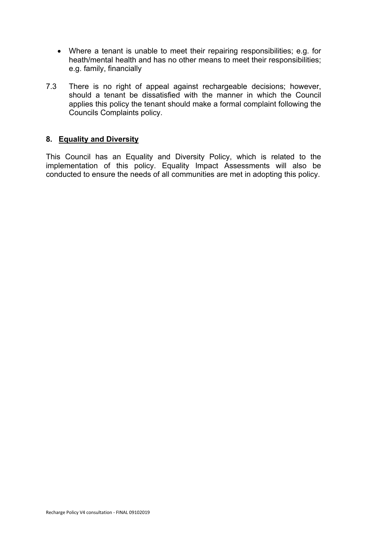- Where a tenant is unable to meet their repairing responsibilities; e.g. for heath/mental health and has no other means to meet their responsibilities; e.g. family, financially
- 7.3 There is no right of appeal against rechargeable decisions; however, should a tenant be dissatisfied with the manner in which the Council applies this policy the tenant should make a formal complaint following the Councils Complaints policy.

# **8. Equality and Diversity**

This Council has an Equality and Diversity Policy, which is related to the implementation of this policy. Equality Impact Assessments will also be conducted to ensure the needs of all communities are met in adopting this policy.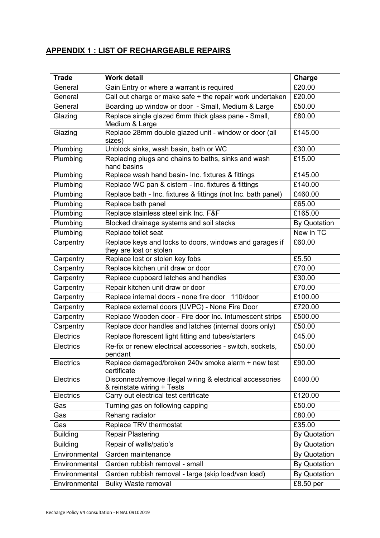# **APPENDIX 1 : LIST OF RECHARGEABLE REPAIRS**

| <b>Trade</b>     | <b>Work detail</b>                                                                      | Charge              |
|------------------|-----------------------------------------------------------------------------------------|---------------------|
| General          | Gain Entry or where a warrant is required                                               | £20.00              |
| General          | Call out charge or make safe + the repair work undertaken                               | £20.00              |
| General          | Boarding up window or door - Small, Medium & Large                                      | £50.00              |
| Glazing          | Replace single glazed 6mm thick glass pane - Small,<br>Medium & Large                   | £80.00              |
| Glazing          | Replace 28mm double glazed unit - window or door (all<br>sizes)                         | £145.00             |
| Plumbing         | Unblock sinks, wash basin, bath or WC                                                   | £30.00              |
| Plumbing         | Replacing plugs and chains to baths, sinks and wash<br>hand basins                      | £15.00              |
| Plumbing         | Replace wash hand basin- Inc. fixtures & fittings                                       | £145.00             |
| Plumbing         | Replace WC pan & cistern - Inc. fixtures & fittings                                     | £140.00             |
| Plumbing         | Replace bath - Inc. fixtures & fittings (not Inc. bath panel)                           | £460.00             |
| Plumbing         | Replace bath panel                                                                      | £65.00              |
| Plumbing         | Replace stainless steel sink Inc. F&F                                                   | £165.00             |
| Plumbing         | Blocked drainage systems and soil stacks                                                | <b>By Quotation</b> |
| Plumbing         | Replace toilet seat                                                                     | New in TC           |
| Carpentry        | Replace keys and locks to doors, windows and garages if<br>they are lost or stolen      | £60.00              |
| Carpentry        | Replace lost or stolen key fobs                                                         | £5.50               |
| Carpentry        | Replace kitchen unit draw or door                                                       | £70.00              |
| Carpentry        | Replace cupboard latches and handles                                                    | £30.00              |
| Carpentry        | Repair kitchen unit draw or door                                                        | £70.00              |
| Carpentry        | Replace internal doors - none fire door 110/door                                        | £100.00             |
| Carpentry        | Replace external doors (UVPC) - None Fire Door                                          | £720.00             |
| Carpentry        | Replace Wooden door - Fire door Inc. Intumescent strips                                 | £500.00             |
| Carpentry        | Replace door handles and latches (internal doors only)                                  | £50.00              |
| <b>Electrics</b> | Replace florescent light fitting and tubes/starters                                     | £45.00              |
| Electrics        | Re-fix or renew electrical accessories - switch, sockets,<br>pendant                    | £50.00              |
| <b>Electrics</b> | Replace damaged/broken 240v smoke alarm + new test<br>certificate                       | £90.00              |
| Electrics        | Disconnect/remove illegal wiring & electrical accessories<br>& reinstate wiring + Tests | £400.00             |
| Electrics        | Carry out electrical test certificate                                                   | £120.00             |
| Gas              | Turning gas on following capping                                                        | £50.00              |
| Gas              | Rehang radiator                                                                         | £80.00              |
| Gas              | Replace TRV thermostat                                                                  | £35.00              |
| <b>Building</b>  | <b>Repair Plastering</b>                                                                | <b>By Quotation</b> |
| <b>Building</b>  | Repair of walls/patio's                                                                 | <b>By Quotation</b> |
| Environmental    | Garden maintenance                                                                      | <b>By Quotation</b> |
| Environmental    | Garden rubbish removal - small                                                          | <b>By Quotation</b> |
| Environmental    | Garden rubbish removal - large (skip load/van load)                                     | <b>By Quotation</b> |
| Environmental    | <b>Bulky Waste removal</b>                                                              | £8.50 per           |